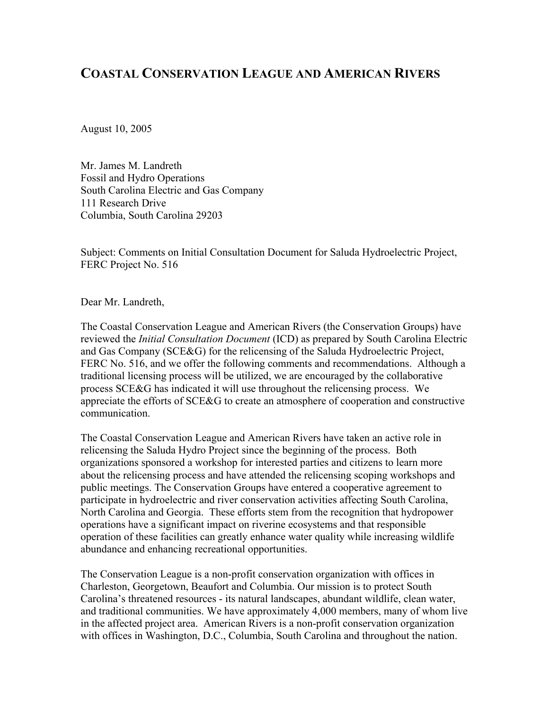# **COASTAL CONSERVATION LEAGUE AND AMERICAN RIVERS**

August 10, 2005

Mr. James M. Landreth Fossil and Hydro Operations South Carolina Electric and Gas Company 111 Research Drive Columbia, South Carolina 29203

Subject: Comments on Initial Consultation Document for Saluda Hydroelectric Project, FERC Project No. 516

Dear Mr. Landreth,

The Coastal Conservation League and American Rivers (the Conservation Groups) have reviewed the *Initial Consultation Document* (ICD) as prepared by South Carolina Electric and Gas Company (SCE&G) for the relicensing of the Saluda Hydroelectric Project, FERC No. 516, and we offer the following comments and recommendations. Although a traditional licensing process will be utilized, we are encouraged by the collaborative process SCE&G has indicated it will use throughout the relicensing process. We appreciate the efforts of SCE&G to create an atmosphere of cooperation and constructive communication.

The Coastal Conservation League and American Rivers have taken an active role in relicensing the Saluda Hydro Project since the beginning of the process. Both organizations sponsored a workshop for interested parties and citizens to learn more about the relicensing process and have attended the relicensing scoping workshops and public meetings. The Conservation Groups have entered a cooperative agreement to participate in hydroelectric and river conservation activities affecting South Carolina, North Carolina and Georgia. These efforts stem from the recognition that hydropower operations have a significant impact on riverine ecosystems and that responsible operation of these facilities can greatly enhance water quality while increasing wildlife abundance and enhancing recreational opportunities.

The Conservation League is a non-profit conservation organization with offices in Charleston, Georgetown, Beaufort and Columbia. Our mission is to protect South Carolina's threatened resources - its natural landscapes, abundant wildlife, clean water, and traditional communities. We have approximately 4,000 members, many of whom live in the affected project area. American Rivers is a non-profit conservation organization with offices in Washington, D.C., Columbia, South Carolina and throughout the nation.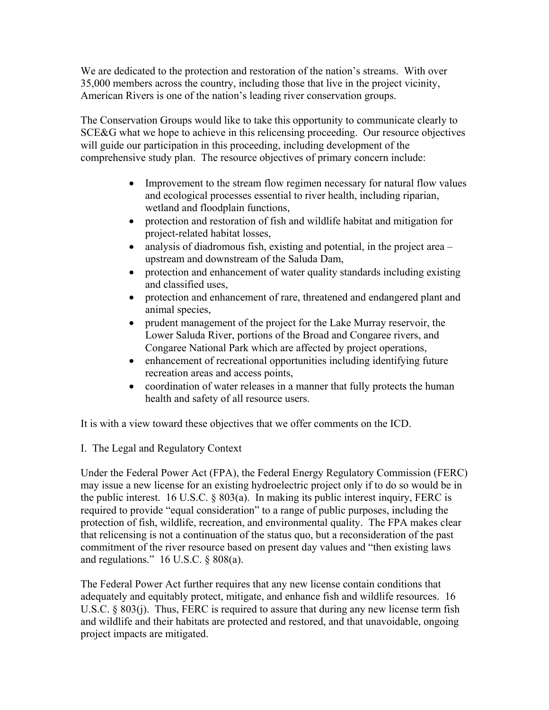We are dedicated to the protection and restoration of the nation's streams. With over 35,000 members across the country, including those that live in the project vicinity, American Rivers is one of the nation's leading river conservation groups.

The Conservation Groups would like to take this opportunity to communicate clearly to SCE&G what we hope to achieve in this relicensing proceeding. Our resource objectives will guide our participation in this proceeding, including development of the comprehensive study plan. The resource objectives of primary concern include:

- Improvement to the stream flow regimen necessary for natural flow values and ecological processes essential to river health, including riparian, wetland and floodplain functions,
- protection and restoration of fish and wildlife habitat and mitigation for project-related habitat losses,
- analysis of diadromous fish, existing and potential, in the project area upstream and downstream of the Saluda Dam,
- protection and enhancement of water quality standards including existing and classified uses,
- protection and enhancement of rare, threatened and endangered plant and animal species,
- prudent management of the project for the Lake Murray reservoir, the Lower Saluda River, portions of the Broad and Congaree rivers, and Congaree National Park which are affected by project operations,
- enhancement of recreational opportunities including identifying future recreation areas and access points,
- coordination of water releases in a manner that fully protects the human health and safety of all resource users.

It is with a view toward these objectives that we offer comments on the ICD.

I. The Legal and Regulatory Context

Under the Federal Power Act (FPA), the Federal Energy Regulatory Commission (FERC) may issue a new license for an existing hydroelectric project only if to do so would be in the public interest. 16 U.S.C. § 803(a). In making its public interest inquiry, FERC is required to provide "equal consideration" to a range of public purposes, including the protection of fish, wildlife, recreation, and environmental quality. The FPA makes clear that relicensing is not a continuation of the status quo, but a reconsideration of the past commitment of the river resource based on present day values and "then existing laws and regulations."  $16$  U.S.C. § 808(a).

The Federal Power Act further requires that any new license contain conditions that adequately and equitably protect, mitigate, and enhance fish and wildlife resources. 16 U.S.C. § 803(j). Thus, FERC is required to assure that during any new license term fish and wildlife and their habitats are protected and restored, and that unavoidable, ongoing project impacts are mitigated.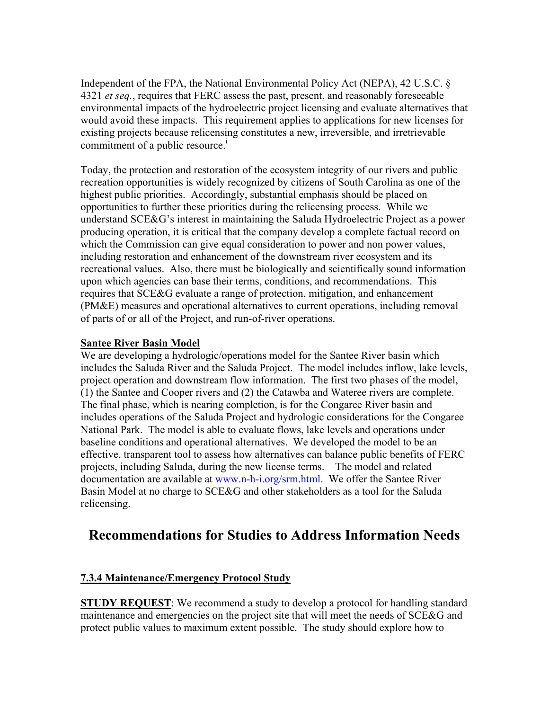Independent of the FPA, the National Environmental Policy Act (NEPA), 42 U.S.C. § 4321 *et seq.*, requires that FERC assess the past, present, and reasonably foreseeable environmental impacts of the hydroelectric project licensing and evaluate alternatives that would avoid these impacts. This requirement applies to applications for new licenses for existing projects because relicensing constitutes a new, irreversible, and irretrievable commitment of a public resource.<sup>1</sup>

Today, the protection and restoration of the ecosystem integrity of our rivers and public recreation opportunities is widely recognized by citizens of South Carolina as one of the highest public priorities. Accordingly, substantial emphasis should be placed on opportunities to further these priorities during the relicensing process. While we understand SCE&G's interest in maintaining the Saluda Hydroelectric Project as a power producing operation, it is critical that the company develop a complete factual record on which the Commission can give equal consideration to power and non power values, including restoration and enhancement of the downstream river ecosystem and its recreational values. Also, there must be biologically and scientifically sound information upon which agencies can base their terms, conditions, and recommendations. This requires that SCE&G evaluate a range of protection, mitigation, and enhancement (PM&E) measures and operational alternatives to current operations, including removal of parts of or all of the Project, and run-of-river operations.

#### **Santee River Basin Model**

We are developing a hydrologic/operations model for the Santee River basin which includes the Saluda River and the Saluda Project. The model includes inflow, lake levels, project operation and downstream flow information. The first two phases of the model, (1) the Santee and Cooper rivers and (2) the Catawba and Wateree rivers are complete. The final phase, which is nearing completion, is for the Congaree River basin and includes operations of the Saluda Project and hydrologic considerations for the Congaree National Park. The model is able to evaluate flows, lake levels and operations under baseline conditions and operational alternatives. We developed the model to be an effective, transparent tool to assess how alternatives can balance public benefits of FERC projects, including Saluda, during the new license terms. The model and related documentation are available at www.n-h-i.org/srm.html. We offer the Santee River Basin Model at no charge to SCE&G and other stakeholders as a tool for the Saluda relicensing.

# **Recommendations for Studies to Address Information Needs**

#### **7.3.4 Maintenance/Emergency Protocol Study**

**STUDY REQUEST:** We recommend a study to develop a protocol for handling standard maintenance and emergencies on the project site that will meet the needs of SCE&G and protect public values to maximum extent possible. The study should explore how to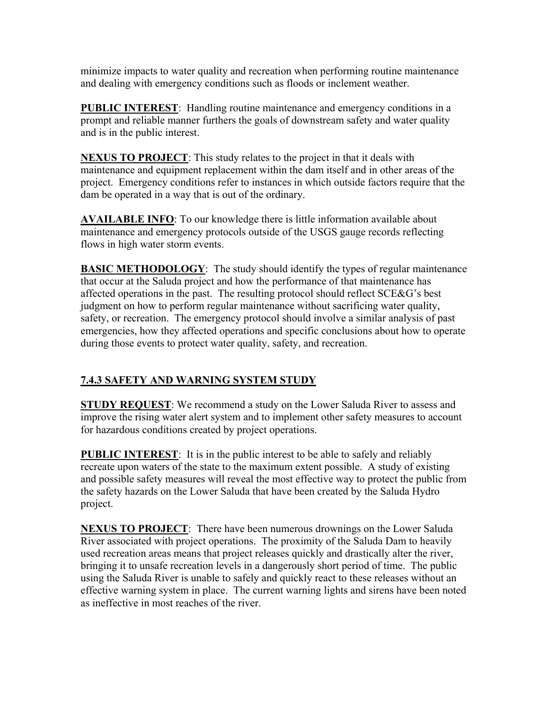minimize impacts to water quality and recreation when performing routine maintenance and dealing with emergency conditions such as floods or inclement weather.

**PUBLIC INTEREST:** Handling routine maintenance and emergency conditions in a prompt and reliable manner furthers the goals of downstream safety and water quality and is in the public interest.

**NEXUS TO PROJECT**: This study relates to the project in that it deals with maintenance and equipment replacement within the dam itself and in other areas of the project. Emergency conditions refer to instances in which outside factors require that the dam be operated in a way that is out of the ordinary.

**AVAILABLE INFO**: To our knowledge there is little information available about maintenance and emergency protocols outside of the USGS gauge records reflecting flows in high water storm events.

**BASIC METHODOLOGY**: The study should identify the types of regular maintenance that occur at the Saluda project and how the performance of that maintenance has affected operations in the past. The resulting protocol should reflect SCE&G's best judgment on how to perform regular maintenance without sacrificing water quality, safety, or recreation. The emergency protocol should involve a similar analysis of past emergencies, how they affected operations and specific conclusions about how to operate during those events to protect water quality, safety, and recreation.

## **7.4.3 SAFETY AND WARNING SYSTEM STUDY**

**STUDY REQUEST**: We recommend a study on the Lower Saluda River to assess and improve the rising water alert system and to implement other safety measures to account for hazardous conditions created by project operations.

**PUBLIC INTEREST**: It is in the public interest to be able to safely and reliably recreate upon waters of the state to the maximum extent possible. A study of existing and possible safety measures will reveal the most effective way to protect the public from the safety hazards on the Lower Saluda that have been created by the Saluda Hydro project.

**NEXUS TO PROJECT**: There have been numerous drownings on the Lower Saluda River associated with project operations. The proximity of the Saluda Dam to heavily used recreation areas means that project releases quickly and drastically alter the river, bringing it to unsafe recreation levels in a dangerously short period of time. The public using the Saluda River is unable to safely and quickly react to these releases without an effective warning system in place. The current warning lights and sirens have been noted as ineffective in most reaches of the river.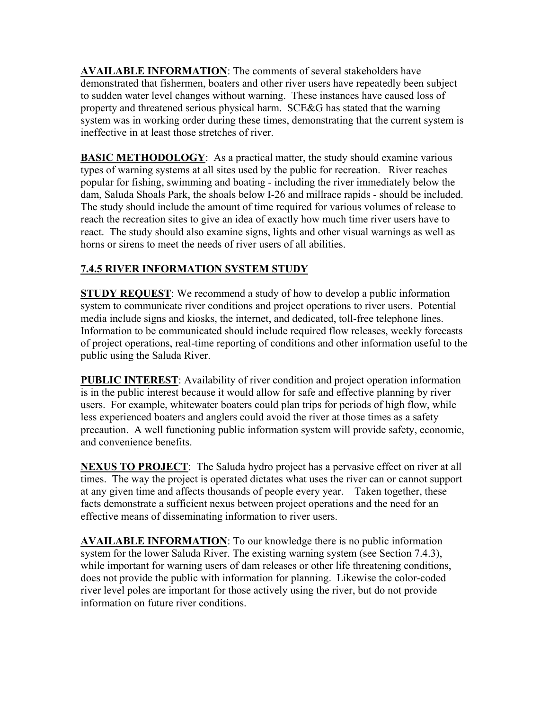**AVAILABLE INFORMATION**: The comments of several stakeholders have demonstrated that fishermen, boaters and other river users have repeatedly been subject to sudden water level changes without warning. These instances have caused loss of property and threatened serious physical harm. SCE&G has stated that the warning system was in working order during these times, demonstrating that the current system is ineffective in at least those stretches of river.

**BASIC METHODOLOGY:** As a practical matter, the study should examine various types of warning systems at all sites used by the public for recreation. River reaches popular for fishing, swimming and boating - including the river immediately below the dam, Saluda Shoals Park, the shoals below I-26 and millrace rapids - should be included. The study should include the amount of time required for various volumes of release to reach the recreation sites to give an idea of exactly how much time river users have to react. The study should also examine signs, lights and other visual warnings as well as horns or sirens to meet the needs of river users of all abilities.

## **7.4.5 RIVER INFORMATION SYSTEM STUDY**

**STUDY REQUEST**: We recommend a study of how to develop a public information system to communicate river conditions and project operations to river users. Potential media include signs and kiosks, the internet, and dedicated, toll-free telephone lines. Information to be communicated should include required flow releases, weekly forecasts of project operations, real-time reporting of conditions and other information useful to the public using the Saluda River.

**PUBLIC INTEREST**: Availability of river condition and project operation information is in the public interest because it would allow for safe and effective planning by river users. For example, whitewater boaters could plan trips for periods of high flow, while less experienced boaters and anglers could avoid the river at those times as a safety precaution. A well functioning public information system will provide safety, economic, and convenience benefits.

**NEXUS TO PROJECT**: The Saluda hydro project has a pervasive effect on river at all times. The way the project is operated dictates what uses the river can or cannot support at any given time and affects thousands of people every year. Taken together, these facts demonstrate a sufficient nexus between project operations and the need for an effective means of disseminating information to river users.

**AVAILABLE INFORMATION**: To our knowledge there is no public information system for the lower Saluda River. The existing warning system (see Section 7.4.3), while important for warning users of dam releases or other life threatening conditions, does not provide the public with information for planning. Likewise the color-coded river level poles are important for those actively using the river, but do not provide information on future river conditions.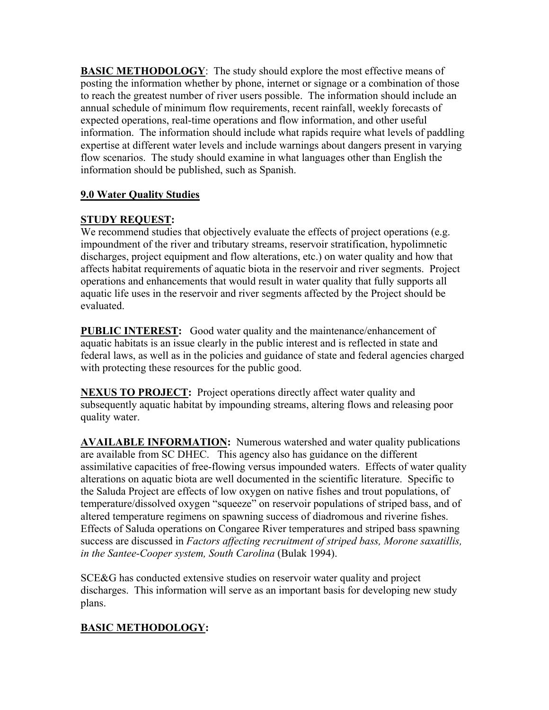**BASIC METHODOLOGY**: The study should explore the most effective means of posting the information whether by phone, internet or signage or a combination of those to reach the greatest number of river users possible. The information should include an annual schedule of minimum flow requirements, recent rainfall, weekly forecasts of expected operations, real-time operations and flow information, and other useful information. The information should include what rapids require what levels of paddling expertise at different water levels and include warnings about dangers present in varying flow scenarios. The study should examine in what languages other than English the information should be published, such as Spanish.

## **9.0 Water Quality Studies**

## **STUDY REQUEST:**

We recommend studies that objectively evaluate the effects of project operations (e.g. impoundment of the river and tributary streams, reservoir stratification, hypolimnetic discharges, project equipment and flow alterations, etc.) on water quality and how that affects habitat requirements of aquatic biota in the reservoir and river segments.Project operations and enhancements that would result in water quality that fully supports all aquatic life uses in the reservoir and river segments affected by the Project should be evaluated.

**PUBLIC INTEREST:** Good water quality and the maintenance/enhancement of aquatic habitats is an issue clearly in the public interest and is reflected in state and federal laws, as well as in the policies and guidance of state and federal agencies charged with protecting these resources for the public good.

**NEXUS TO PROJECT:** Project operations directly affect water quality and subsequently aquatic habitat by impounding streams, altering flows and releasing poor quality water.

**AVAILABLE INFORMATION:** Numerous watershed and water quality publications are available from SC DHEC. This agency also has guidance on the different assimilative capacities of free-flowing versus impounded waters. Effects of water quality alterations on aquatic biota are well documented in the scientific literature. Specific to the Saluda Project are effects of low oxygen on native fishes and trout populations, of temperature/dissolved oxygen "squeeze" on reservoir populations of striped bass, and of altered temperature regimens on spawning success of diadromous and riverine fishes. Effects of Saluda operations on Congaree River temperatures and striped bass spawning success are discussed in *Factors affecting recruitment of striped bass, Morone saxatillis, in the Santee-Cooper system, South Carolina* (Bulak 1994).

SCE&G has conducted extensive studies on reservoir water quality and project discharges. This information will serve as an important basis for developing new study plans.

## **BASIC METHODOLOGY:**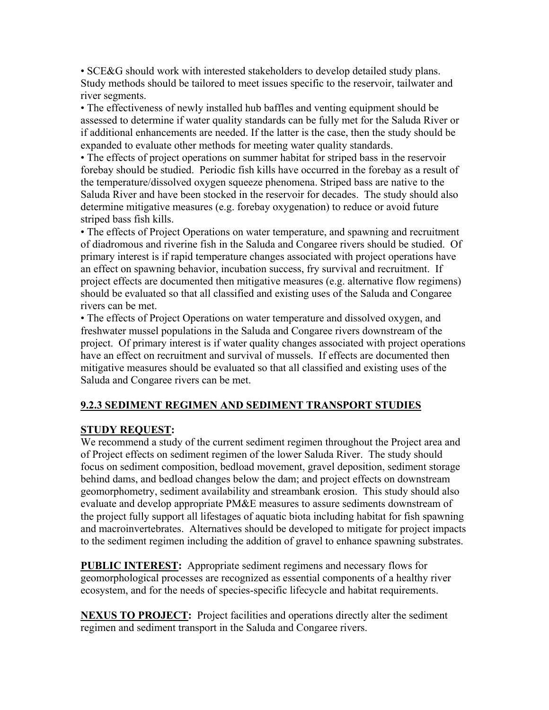• SCE&G should work with interested stakeholders to develop detailed study plans. Study methods should be tailored to meet issues specific to the reservoir, tailwater and river segments.

• The effectiveness of newly installed hub baffles and venting equipment should be assessed to determine if water quality standards can be fully met for the Saluda River or if additional enhancements are needed. If the latter is the case, then the study should be expanded to evaluate other methods for meeting water quality standards.

• The effects of project operations on summer habitat for striped bass in the reservoir forebay should be studied. Periodic fish kills have occurred in the forebay as a result of the temperature/dissolved oxygen squeeze phenomena. Striped bass are native to the Saluda River and have been stocked in the reservoir for decades. The study should also determine mitigative measures (e.g. forebay oxygenation) to reduce or avoid future striped bass fish kills.

• The effects of Project Operations on water temperature, and spawning and recruitment of diadromous and riverine fish in the Saluda and Congaree rivers should be studied. Of primary interest is if rapid temperature changes associated with project operations have an effect on spawning behavior, incubation success, fry survival and recruitment. If project effects are documented then mitigative measures (e.g. alternative flow regimens) should be evaluated so that all classified and existing uses of the Saluda and Congaree rivers can be met.

• The effects of Project Operations on water temperature and dissolved oxygen, and freshwater mussel populations in the Saluda and Congaree rivers downstream of the project. Of primary interest is if water quality changes associated with project operations have an effect on recruitment and survival of mussels. If effects are documented then mitigative measures should be evaluated so that all classified and existing uses of the Saluda and Congaree rivers can be met.

#### **9.2.3 SEDIMENT REGIMEN AND SEDIMENT TRANSPORT STUDIES**

## **STUDY REQUEST:**

We recommend a study of the current sediment regimen throughout the Project area and of Project effects on sediment regimen of the lower Saluda River. The study should focus on sediment composition, bedload movement, gravel deposition, sediment storage behind dams, and bedload changes below the dam; and project effects on downstream geomorphometry, sediment availability and streambank erosion. This study should also evaluate and develop appropriate PM&E measures to assure sediments downstream of the project fully support all lifestages of aquatic biota including habitat for fish spawning and macroinvertebrates. Alternatives should be developed to mitigate for project impacts to the sediment regimen including the addition of gravel to enhance spawning substrates.

**PUBLIC INTEREST:** Appropriate sediment regimens and necessary flows for geomorphological processes are recognized as essential components of a healthy river ecosystem, and for the needs of species-specific lifecycle and habitat requirements.

**NEXUS TO PROJECT:** Project facilities and operations directly alter the sediment regimen and sediment transport in the Saluda and Congaree rivers.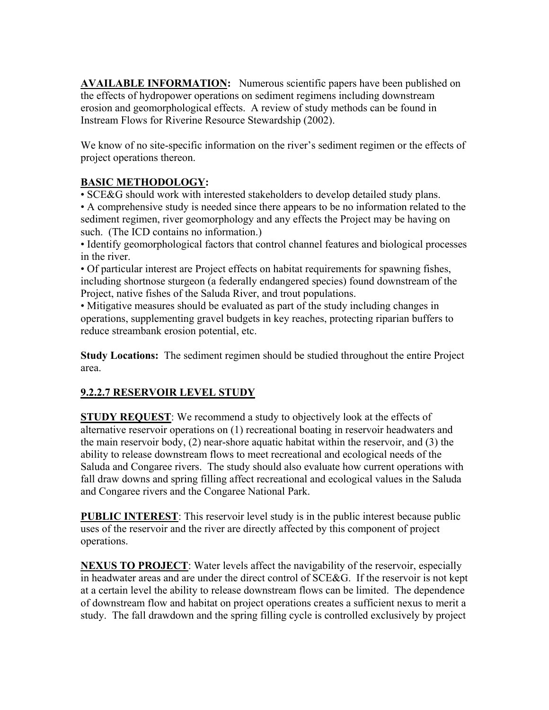**AVAILABLE INFORMATION:** Numerous scientific papers have been published on the effects of hydropower operations on sediment regimens including downstream erosion and geomorphological effects. A review of study methods can be found in Instream Flows for Riverine Resource Stewardship (2002).

We know of no site-specific information on the river's sediment regimen or the effects of project operations thereon.

## **BASIC METHODOLOGY:**

• SCE&G should work with interested stakeholders to develop detailed study plans.

• A comprehensive study is needed since there appears to be no information related to the sediment regimen, river geomorphology and any effects the Project may be having on such. (The ICD contains no information.)

• Identify geomorphological factors that control channel features and biological processes in the river.

• Of particular interest are Project effects on habitat requirements for spawning fishes, including shortnose sturgeon (a federally endangered species) found downstream of the Project, native fishes of the Saluda River, and trout populations.

• Mitigative measures should be evaluated as part of the study including changes in operations, supplementing gravel budgets in key reaches, protecting riparian buffers to reduce streambank erosion potential, etc.

**Study Locations:** The sediment regimen should be studied throughout the entire Project area.

## **9.2.2.7 RESERVOIR LEVEL STUDY**

**STUDY REQUEST**: We recommend a study to objectively look at the effects of alternative reservoir operations on (1) recreational boating in reservoir headwaters and the main reservoir body, (2) near-shore aquatic habitat within the reservoir, and (3) the ability to release downstream flows to meet recreational and ecological needs of the Saluda and Congaree rivers. The study should also evaluate how current operations with fall draw downs and spring filling affect recreational and ecological values in the Saluda and Congaree rivers and the Congaree National Park.

**PUBLIC INTEREST:** This reservoir level study is in the public interest because public uses of the reservoir and the river are directly affected by this component of project operations.

**NEXUS TO PROJECT**: Water levels affect the navigability of the reservoir, especially in headwater areas and are under the direct control of SCE&G. If the reservoir is not kept at a certain level the ability to release downstream flows can be limited. The dependence of downstream flow and habitat on project operations creates a sufficient nexus to merit a study. The fall drawdown and the spring filling cycle is controlled exclusively by project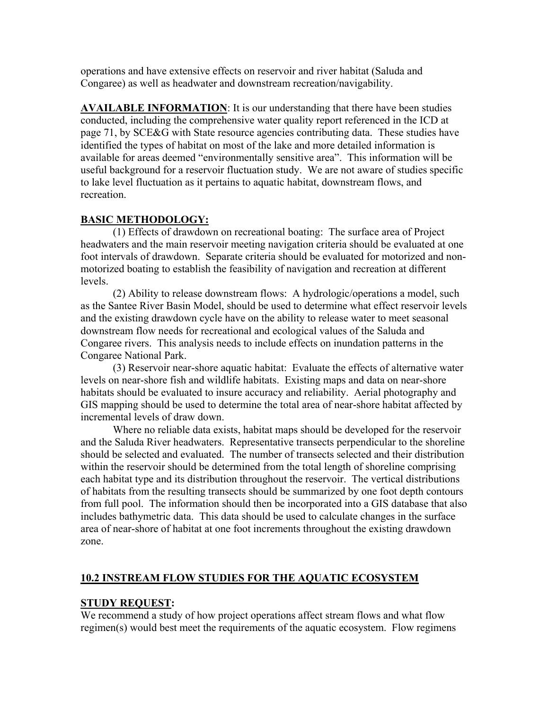operations and have extensive effects on reservoir and river habitat (Saluda and Congaree) as well as headwater and downstream recreation/navigability.

**AVAILABLE INFORMATION**: It is our understanding that there have been studies conducted, including the comprehensive water quality report referenced in the ICD at page 71, by SCE&G with State resource agencies contributing data. These studies have identified the types of habitat on most of the lake and more detailed information is available for areas deemed "environmentally sensitive area". This information will be useful background for a reservoir fluctuation study. We are not aware of studies specific to lake level fluctuation as it pertains to aquatic habitat, downstream flows, and recreation.

#### **BASIC METHODOLOGY:**

(1) Effects of drawdown on recreational boating: The surface area of Project headwaters and the main reservoir meeting navigation criteria should be evaluated at one foot intervals of drawdown. Separate criteria should be evaluated for motorized and nonmotorized boating to establish the feasibility of navigation and recreation at different levels.

(2) Ability to release downstream flows: A hydrologic/operations a model, such as the Santee River Basin Model, should be used to determine what effect reservoir levels and the existing drawdown cycle have on the ability to release water to meet seasonal downstream flow needs for recreational and ecological values of the Saluda and Congaree rivers. This analysis needs to include effects on inundation patterns in the Congaree National Park.

(3) Reservoir near-shore aquatic habitat: Evaluate the effects of alternative water levels on near-shore fish and wildlife habitats. Existing maps and data on near-shore habitats should be evaluated to insure accuracy and reliability. Aerial photography and GIS mapping should be used to determine the total area of near-shore habitat affected by incremental levels of draw down.

Where no reliable data exists, habitat maps should be developed for the reservoir and the Saluda River headwaters. Representative transects perpendicular to the shoreline should be selected and evaluated. The number of transects selected and their distribution within the reservoir should be determined from the total length of shoreline comprising each habitat type and its distribution throughout the reservoir. The vertical distributions of habitats from the resulting transects should be summarized by one foot depth contours from full pool. The information should then be incorporated into a GIS database that also includes bathymetric data. This data should be used to calculate changes in the surface area of near-shore of habitat at one foot increments throughout the existing drawdown zone.

#### **10.2 INSTREAM FLOW STUDIES FOR THE AQUATIC ECOSYSTEM**

#### **STUDY REQUEST:**

We recommend a study of how project operations affect stream flows and what flow regimen(s) would best meet the requirements of the aquatic ecosystem. Flow regimens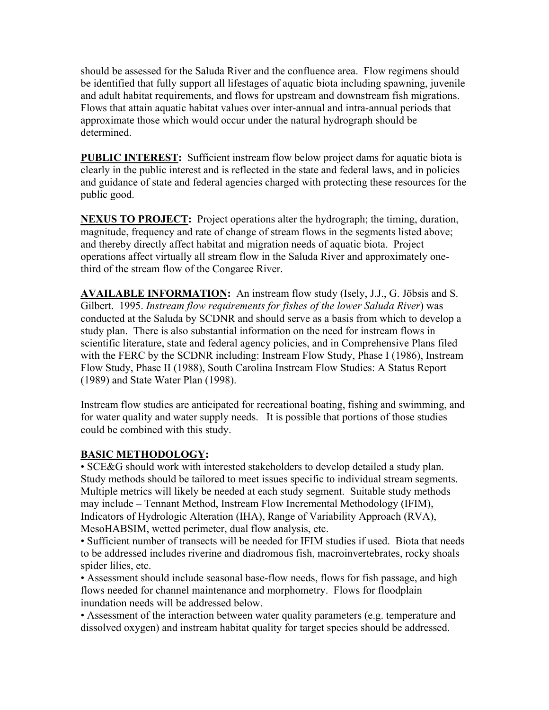should be assessed for the Saluda River and the confluence area. Flow regimens should be identified that fully support all lifestages of aquatic biota including spawning, juvenile and adult habitat requirements, and flows for upstream and downstream fish migrations. Flows that attain aquatic habitat values over inter-annual and intra-annual periods that approximate those which would occur under the natural hydrograph should be determined.

**PUBLIC INTEREST:** Sufficient instream flow below project dams for aquatic biota is clearly in the public interest and is reflected in the state and federal laws, and in policies and guidance of state and federal agencies charged with protecting these resources for the public good.

**NEXUS TO PROJECT:** Project operations alter the hydrograph; the timing, duration, magnitude, frequency and rate of change of stream flows in the segments listed above; and thereby directly affect habitat and migration needs of aquatic biota. Project operations affect virtually all stream flow in the Saluda River and approximately onethird of the stream flow of the Congaree River.

**AVAILABLE INFORMATION:** An instream flow study (Isely, J.J., G. Jöbsis and S. Gilbert. 1995. *Instream flow requirements for fishes of the lower Saluda River*) was conducted at the Saluda by SCDNR and should serve as a basis from which to develop a study plan. There is also substantial information on the need for instream flows in scientific literature, state and federal agency policies, and in Comprehensive Plans filed with the FERC by the SCDNR including: Instream Flow Study, Phase I (1986), Instream Flow Study, Phase II (1988), South Carolina Instream Flow Studies: A Status Report (1989) and State Water Plan (1998).

Instream flow studies are anticipated for recreational boating, fishing and swimming, and for water quality and water supply needs. It is possible that portions of those studies could be combined with this study.

## **BASIC METHODOLOGY:**

• SCE&G should work with interested stakeholders to develop detailed a study plan. Study methods should be tailored to meet issues specific to individual stream segments. Multiple metrics will likely be needed at each study segment. Suitable study methods may include – Tennant Method, Instream Flow Incremental Methodology (IFIM), Indicators of Hydrologic Alteration (IHA), Range of Variability Approach (RVA), MesoHABSIM, wetted perimeter, dual flow analysis, etc.

• Sufficient number of transects will be needed for IFIM studies if used. Biota that needs to be addressed includes riverine and diadromous fish, macroinvertebrates, rocky shoals spider lilies, etc.

• Assessment should include seasonal base-flow needs, flows for fish passage, and high flows needed for channel maintenance and morphometry. Flows for floodplain inundation needs will be addressed below.

• Assessment of the interaction between water quality parameters (e.g. temperature and dissolved oxygen) and instream habitat quality for target species should be addressed.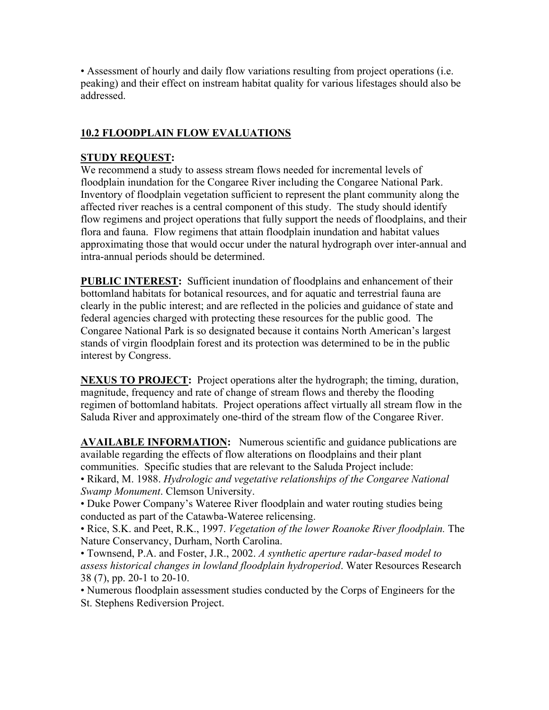• Assessment of hourly and daily flow variations resulting from project operations (i.e. peaking) and their effect on instream habitat quality for various lifestages should also be addressed.

### **10.2 FLOODPLAIN FLOW EVALUATIONS**

#### **STUDY REQUEST:**

We recommend a study to assess stream flows needed for incremental levels of floodplain inundation for the Congaree River including the Congaree National Park. Inventory of floodplain vegetation sufficient to represent the plant community along the affected river reaches is a central component of this study. The study should identify flow regimens and project operations that fully support the needs of floodplains, and their flora and fauna. Flow regimens that attain floodplain inundation and habitat values approximating those that would occur under the natural hydrograph over inter-annual and intra-annual periods should be determined.

**PUBLIC INTEREST:** Sufficient inundation of floodplains and enhancement of their bottomland habitats for botanical resources, and for aquatic and terrestrial fauna are clearly in the public interest; and are reflected in the policies and guidance of state and federal agencies charged with protecting these resources for the public good. The Congaree National Park is so designated because it contains North American's largest stands of virgin floodplain forest and its protection was determined to be in the public interest by Congress.

**NEXUS TO PROJECT:** Project operations alter the hydrograph; the timing, duration, magnitude, frequency and rate of change of stream flows and thereby the flooding regimen of bottomland habitats. Project operations affect virtually all stream flow in the Saluda River and approximately one-third of the stream flow of the Congaree River.

**AVAILABLE INFORMATION:** Numerous scientific and guidance publications are available regarding the effects of flow alterations on floodplains and their plant communities. Specific studies that are relevant to the Saluda Project include:

• Rikard, M. 1988. *Hydrologic and vegetative relationships of the Congaree National Swamp Monument*. Clemson University.

• Duke Power Company's Wateree River floodplain and water routing studies being conducted as part of the Catawba-Wateree relicensing.

• Rice, S.K. and Peet, R.K., 1997. *Vegetation of the lower Roanoke River floodplain.* The Nature Conservancy, Durham, North Carolina.

• Townsend, P.A. and Foster, J.R., 2002. *A synthetic aperture radar-based model to assess historical changes in lowland floodplain hydroperiod*. Water Resources Research 38 (7), pp. 20-1 to 20-10.

• Numerous floodplain assessment studies conducted by the Corps of Engineers for the St. Stephens Rediversion Project.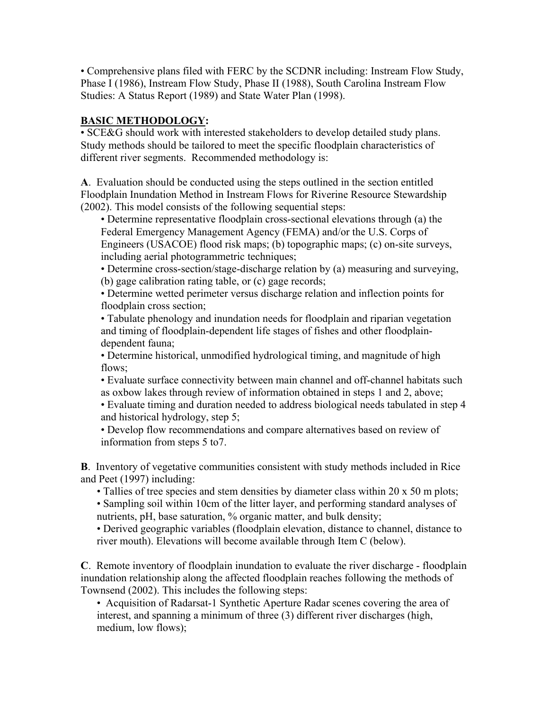• Comprehensive plans filed with FERC by the SCDNR including: Instream Flow Study, Phase I (1986), Instream Flow Study, Phase II (1988), South Carolina Instream Flow Studies: A Status Report (1989) and State Water Plan (1998).

## **BASIC METHODOLOGY:**

• SCE&G should work with interested stakeholders to develop detailed study plans. Study methods should be tailored to meet the specific floodplain characteristics of different river segments. Recommended methodology is:

**A**. Evaluation should be conducted using the steps outlined in the section entitled Floodplain Inundation Method in Instream Flows for Riverine Resource Stewardship (2002). This model consists of the following sequential steps:

• Determine representative floodplain cross-sectional elevations through (a) the Federal Emergency Management Agency (FEMA) and/or the U.S. Corps of Engineers (USACOE) flood risk maps; (b) topographic maps; (c) on-site surveys, including aerial photogrammetric techniques;

• Determine cross-section/stage-discharge relation by (a) measuring and surveying, (b) gage calibration rating table, or (c) gage records;

• Determine wetted perimeter versus discharge relation and inflection points for floodplain cross section;

• Tabulate phenology and inundation needs for floodplain and riparian vegetation and timing of floodplain-dependent life stages of fishes and other floodplaindependent fauna;

• Determine historical, unmodified hydrological timing, and magnitude of high flows:

• Evaluate surface connectivity between main channel and off-channel habitats such as oxbow lakes through review of information obtained in steps 1 and 2, above;

• Evaluate timing and duration needed to address biological needs tabulated in step 4 and historical hydrology, step 5;

• Develop flow recommendations and compare alternatives based on review of information from steps 5 to7.

**B**. Inventory of vegetative communities consistent with study methods included in Rice and Peet (1997) including:

• Tallies of tree species and stem densities by diameter class within 20 x 50 m plots;

• Sampling soil within 10cm of the litter layer, and performing standard analyses of nutrients, pH, base saturation, % organic matter, and bulk density;

• Derived geographic variables (floodplain elevation, distance to channel, distance to river mouth). Elevations will become available through Item C (below).

**C**. Remote inventory of floodplain inundation to evaluate the river discharge - floodplain inundation relationship along the affected floodplain reaches following the methods of Townsend (2002). This includes the following steps:

• Acquisition of Radarsat-1 Synthetic Aperture Radar scenes covering the area of interest, and spanning a minimum of three (3) different river discharges (high, medium, low flows);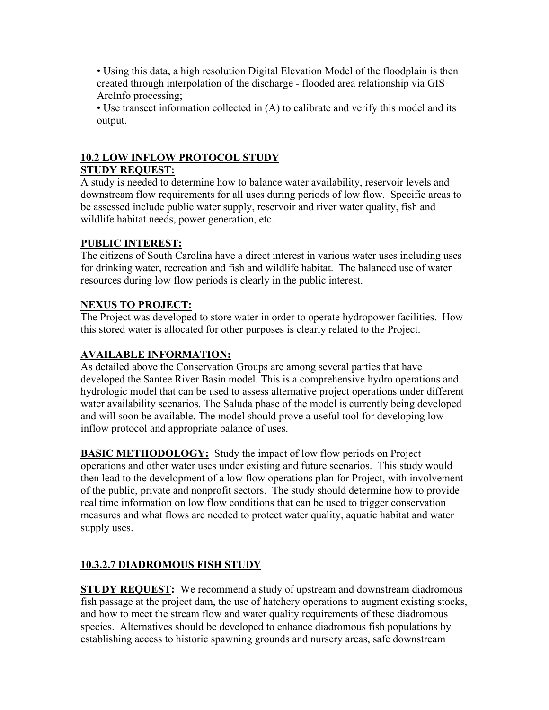• Using this data, a high resolution Digital Elevation Model of the floodplain is then created through interpolation of the discharge - flooded area relationship via GIS ArcInfo processing;

• Use transect information collected in (A) to calibrate and verify this model and its output.

#### **10.2 LOW INFLOW PROTOCOL STUDY STUDY REQUEST:**

A study is needed to determine how to balance water availability, reservoir levels and downstream flow requirements for all uses during periods of low flow. Specific areas to be assessed include public water supply, reservoir and river water quality, fish and wildlife habitat needs, power generation, etc.

## **PUBLIC INTEREST:**

The citizens of South Carolina have a direct interest in various water uses including uses for drinking water, recreation and fish and wildlife habitat. The balanced use of water resources during low flow periods is clearly in the public interest.

## **NEXUS TO PROJECT:**

The Project was developed to store water in order to operate hydropower facilities. How this stored water is allocated for other purposes is clearly related to the Project.

## **AVAILABLE INFORMATION:**

As detailed above the Conservation Groups are among several parties that have developed the Santee River Basin model. This is a comprehensive hydro operations and hydrologic model that can be used to assess alternative project operations under different water availability scenarios. The Saluda phase of the model is currently being developed and will soon be available. The model should prove a useful tool for developing low inflow protocol and appropriate balance of uses.

**BASIC METHODOLOGY:** Study the impact of low flow periods on Project operations and other water uses under existing and future scenarios. This study would then lead to the development of a low flow operations plan for Project, with involvement of the public, private and nonprofit sectors. The study should determine how to provide real time information on low flow conditions that can be used to trigger conservation measures and what flows are needed to protect water quality, aquatic habitat and water supply uses.

## **10.3.2.7 DIADROMOUS FISH STUDY**

**STUDY REQUEST:** We recommend a study of upstream and downstream diadromous fish passage at the project dam, the use of hatchery operations to augment existing stocks, and how to meet the stream flow and water quality requirements of these diadromous species. Alternatives should be developed to enhance diadromous fish populations by establishing access to historic spawning grounds and nursery areas, safe downstream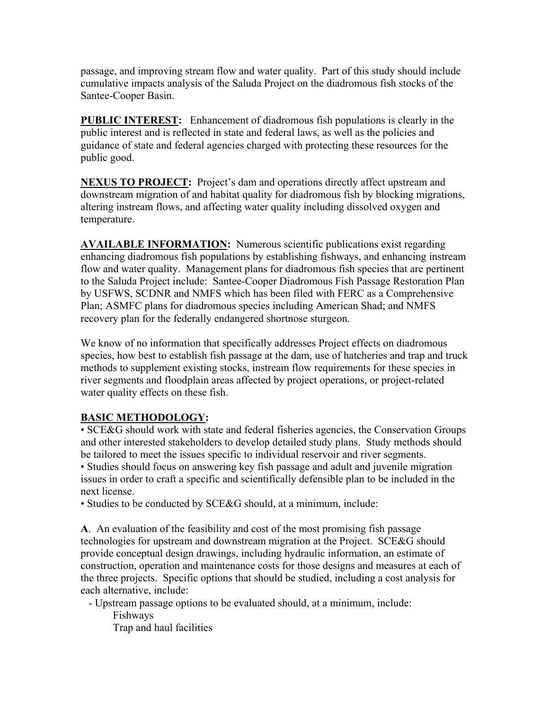passage, and improving stream flow and water quality. Part of this study should include cumulative impacts analysis of the Saluda Project on the diadromous fish stocks of the Santee-Cooper Basin.

**PUBLIC INTEREST:** Enhancement of diadromous fish populations is clearly in the public interest and is reflected in state and federal laws, as well as the policies and guidance of state and federal agencies charged with protecting these resources for the public good.

**NEXUS TO PROJECT:** Project's dam and operations directly affect upstream and downstream migration of and habitat quality for diadromous fish by blocking migrations, altering instream flows, and affecting water quality including dissolved oxygen and temperature.

**AVAILABLE INFORMATION:** Numerous scientific publications exist regarding enhancing diadromous fish populations by establishing fishways, and enhancing instream flow and water quality. Management plans for diadromous fish species that are pertinent to the Saluda Project include: Santee-Cooper Diadromous Fish Passage Restoration Plan by USFWS, SCDNR and NMFS which has been filed with FERC as a Comprehensive Plan; ASMFC plans for diadromous species including American Shad; and NMFS recovery plan for the federally endangered shortnose sturgeon.

We know of no information that specifically addresses Project effects on diadromous species, how best to establish fish passage at the dam, use of hatcheries and trap and truck methods to supplement existing stocks, instream flow requirements for these species in river segments and floodplain areas affected by project operations, or project-related water quality effects on these fish.

## **BASIC METHODOLOGY:**

• SCE&G should work with state and federal fisheries agencies, the Conservation Groups and other interested stakeholders to develop detailed study plans. Study methods should be tailored to meet the issues specific to individual reservoir and river segments. • Studies should focus on answering key fish passage and adult and juvenile migration issues in order to craft a specific and scientifically defensible plan to be included in the next license.

• Studies to be conducted by SCE&G should, at a minimum, include:

**A**. An evaluation of the feasibility and cost of the most promising fish passage technologies for upstream and downstream migration at the Project. SCE&G should provide conceptual design drawings, including hydraulic information, an estimate of construction, operation and maintenance costs for those designs and measures at each of the three projects. Specific options that should be studied, including a cost analysis for each alternative, include:

 - Upstream passage options to be evaluated should, at a minimum, include: Fishways

Trap and haul facilities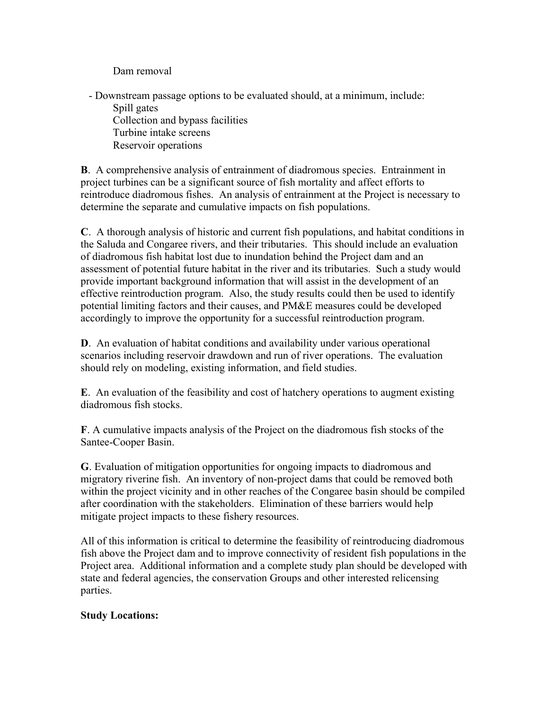Dam removal

 - Downstream passage options to be evaluated should, at a minimum, include: Spill gates Collection and bypass facilities Turbine intake screens Reservoir operations

**B**. A comprehensive analysis of entrainment of diadromous species. Entrainment in project turbines can be a significant source of fish mortality and affect efforts to reintroduce diadromous fishes. An analysis of entrainment at the Project is necessary to determine the separate and cumulative impacts on fish populations.

**C**. A thorough analysis of historic and current fish populations, and habitat conditions in the Saluda and Congaree rivers, and their tributaries. This should include an evaluation of diadromous fish habitat lost due to inundation behind the Project dam and an assessment of potential future habitat in the river and its tributaries. Such a study would provide important background information that will assist in the development of an effective reintroduction program. Also, the study results could then be used to identify potential limiting factors and their causes, and PM&E measures could be developed accordingly to improve the opportunity for a successful reintroduction program.

**D**. An evaluation of habitat conditions and availability under various operational scenarios including reservoir drawdown and run of river operations. The evaluation should rely on modeling, existing information, and field studies.

**E**. An evaluation of the feasibility and cost of hatchery operations to augment existing diadromous fish stocks.

**F**. A cumulative impacts analysis of the Project on the diadromous fish stocks of the Santee-Cooper Basin.

**G**. Evaluation of mitigation opportunities for ongoing impacts to diadromous and migratory riverine fish. An inventory of non-project dams that could be removed both within the project vicinity and in other reaches of the Congaree basin should be compiled after coordination with the stakeholders. Elimination of these barriers would help mitigate project impacts to these fishery resources.

All of this information is critical to determine the feasibility of reintroducing diadromous fish above the Project dam and to improve connectivity of resident fish populations in the Project area. Additional information and a complete study plan should be developed with state and federal agencies, the conservation Groups and other interested relicensing parties.

#### **Study Locations:**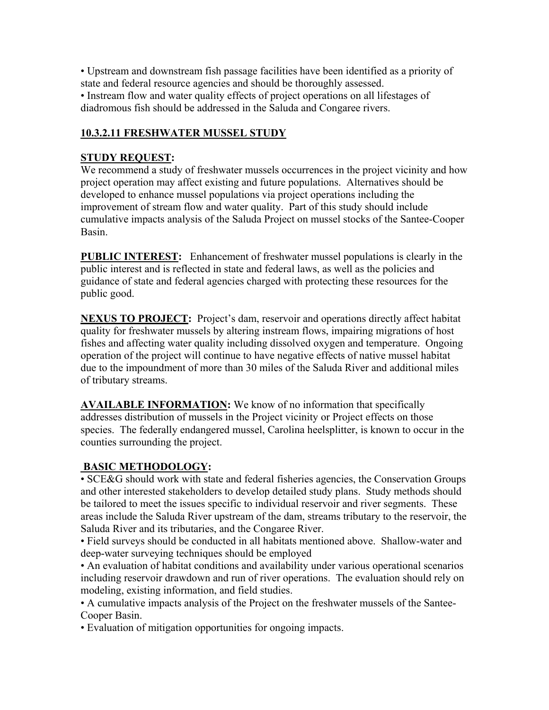• Upstream and downstream fish passage facilities have been identified as a priority of state and federal resource agencies and should be thoroughly assessed.

• Instream flow and water quality effects of project operations on all lifestages of diadromous fish should be addressed in the Saluda and Congaree rivers.

### **10.3.2.11 FRESHWATER MUSSEL STUDY**

#### **STUDY REQUEST:**

We recommend a study of freshwater mussels occurrences in the project vicinity and how project operation may affect existing and future populations. Alternatives should be developed to enhance mussel populations via project operations including the improvement of stream flow and water quality. Part of this study should include cumulative impacts analysis of the Saluda Project on mussel stocks of the Santee-Cooper Basin.

**PUBLIC INTEREST:** Enhancement of freshwater mussel populations is clearly in the public interest and is reflected in state and federal laws, as well as the policies and guidance of state and federal agencies charged with protecting these resources for the public good.

**NEXUS TO PROJECT:** Project's dam, reservoir and operations directly affect habitat quality for freshwater mussels by altering instream flows, impairing migrations of host fishes and affecting water quality including dissolved oxygen and temperature. Ongoing operation of the project will continue to have negative effects of native mussel habitat due to the impoundment of more than 30 miles of the Saluda River and additional miles of tributary streams.

**AVAILABLE INFORMATION:** We know of no information that specifically addresses distribution of mussels in the Project vicinity or Project effects on those species. The federally endangered mussel, Carolina heelsplitter, is known to occur in the counties surrounding the project.

#### **BASIC METHODOLOGY:**

• SCE&G should work with state and federal fisheries agencies, the Conservation Groups and other interested stakeholders to develop detailed study plans. Study methods should be tailored to meet the issues specific to individual reservoir and river segments. These areas include the Saluda River upstream of the dam, streams tributary to the reservoir, the Saluda River and its tributaries, and the Congaree River.

• Field surveys should be conducted in all habitats mentioned above. Shallow-water and deep-water surveying techniques should be employed

• An evaluation of habitat conditions and availability under various operational scenarios including reservoir drawdown and run of river operations. The evaluation should rely on modeling, existing information, and field studies.

• A cumulative impacts analysis of the Project on the freshwater mussels of the Santee-Cooper Basin.

• Evaluation of mitigation opportunities for ongoing impacts.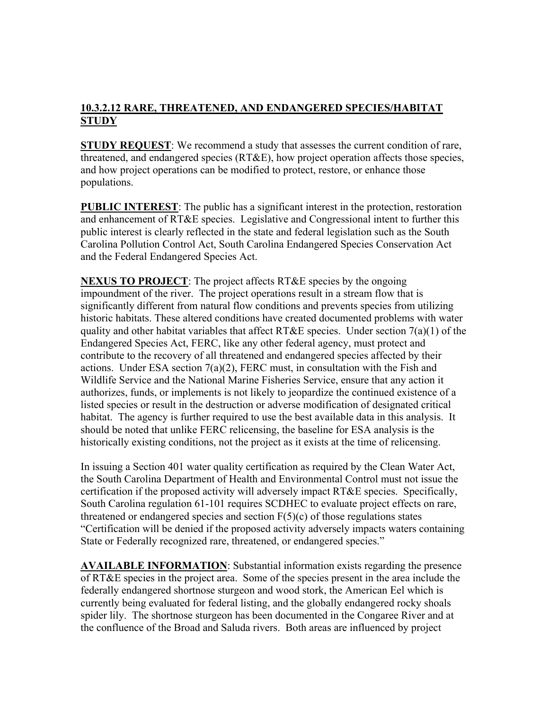## **10.3.2.12 RARE, THREATENED, AND ENDANGERED SPECIES/HABITAT STUDY**

**STUDY REQUEST**: We recommend a study that assesses the current condition of rare, threatened, and endangered species (RT&E), how project operation affects those species, and how project operations can be modified to protect, restore, or enhance those populations.

**PUBLIC INTEREST:** The public has a significant interest in the protection, restoration and enhancement of RT&E species. Legislative and Congressional intent to further this public interest is clearly reflected in the state and federal legislation such as the South Carolina Pollution Control Act, South Carolina Endangered Species Conservation Act and the Federal Endangered Species Act.

**NEXUS TO PROJECT**: The project affects RT&E species by the ongoing impoundment of the river. The project operations result in a stream flow that is significantly different from natural flow conditions and prevents species from utilizing historic habitats. These altered conditions have created documented problems with water quality and other habitat variables that affect RT&E species. Under section  $7(a)(1)$  of the Endangered Species Act, FERC, like any other federal agency, must protect and contribute to the recovery of all threatened and endangered species affected by their actions. Under ESA section  $7(a)(2)$ , FERC must, in consultation with the Fish and Wildlife Service and the National Marine Fisheries Service, ensure that any action it authorizes, funds, or implements is not likely to jeopardize the continued existence of a listed species or result in the destruction or adverse modification of designated critical habitat. The agency is further required to use the best available data in this analysis. It should be noted that unlike FERC relicensing, the baseline for ESA analysis is the historically existing conditions, not the project as it exists at the time of relicensing.

In issuing a Section 401 water quality certification as required by the Clean Water Act, the South Carolina Department of Health and Environmental Control must not issue the certification if the proposed activity will adversely impact RT&E species. Specifically, South Carolina regulation 61-101 requires SCDHEC to evaluate project effects on rare, threatened or endangered species and section  $F(5)(c)$  of those regulations states "Certification will be denied if the proposed activity adversely impacts waters containing State or Federally recognized rare, threatened, or endangered species."

**AVAILABLE INFORMATION**: Substantial information exists regarding the presence of RT&E species in the project area. Some of the species present in the area include the federally endangered shortnose sturgeon and wood stork, the American Eel which is currently being evaluated for federal listing, and the globally endangered rocky shoals spider lily. The shortnose sturgeon has been documented in the Congaree River and at the confluence of the Broad and Saluda rivers. Both areas are influenced by project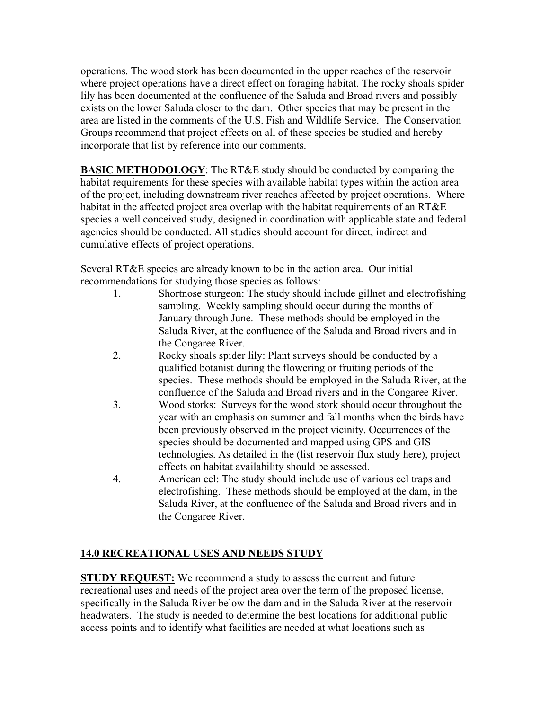operations. The wood stork has been documented in the upper reaches of the reservoir where project operations have a direct effect on foraging habitat. The rocky shoals spider lily has been documented at the confluence of the Saluda and Broad rivers and possibly exists on the lower Saluda closer to the dam. Other species that may be present in the area are listed in the comments of the U.S. Fish and Wildlife Service. The Conservation Groups recommend that project effects on all of these species be studied and hereby incorporate that list by reference into our comments.

**BASIC METHODOLOGY**: The RT&E study should be conducted by comparing the habitat requirements for these species with available habitat types within the action area of the project, including downstream river reaches affected by project operations. Where habitat in the affected project area overlap with the habitat requirements of an RT&E species a well conceived study, designed in coordination with applicable state and federal agencies should be conducted. All studies should account for direct, indirect and cumulative effects of project operations.

Several RT&E species are already known to be in the action area. Our initial recommendations for studying those species as follows:

- 1. Shortnose sturgeon: The study should include gillnet and electrofishing sampling. Weekly sampling should occur during the months of January through June. These methods should be employed in the Saluda River, at the confluence of the Saluda and Broad rivers and in the Congaree River.
- 2. Rocky shoals spider lily: Plant surveys should be conducted by a qualified botanist during the flowering or fruiting periods of the species. These methods should be employed in the Saluda River, at the confluence of the Saluda and Broad rivers and in the Congaree River.
- 3. Wood storks: Surveys for the wood stork should occur throughout the year with an emphasis on summer and fall months when the birds have been previously observed in the project vicinity. Occurrences of the species should be documented and mapped using GPS and GIS technologies. As detailed in the (list reservoir flux study here), project effects on habitat availability should be assessed.
- 4. American eel: The study should include use of various eel traps and electrofishing. These methods should be employed at the dam, in the Saluda River, at the confluence of the Saluda and Broad rivers and in the Congaree River.

## **14.0 RECREATIONAL USES AND NEEDS STUDY**

**STUDY REQUEST:** We recommend a study to assess the current and future recreational uses and needs of the project area over the term of the proposed license, specifically in the Saluda River below the dam and in the Saluda River at the reservoir headwaters. The study is needed to determine the best locations for additional public access points and to identify what facilities are needed at what locations such as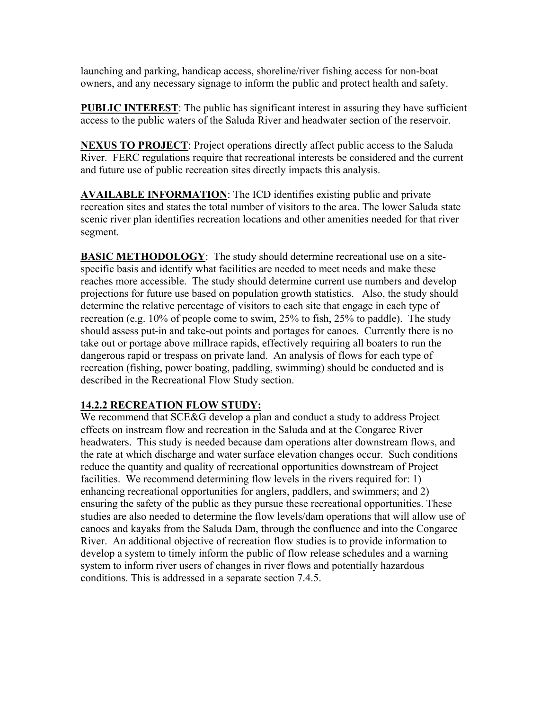launching and parking, handicap access, shoreline/river fishing access for non-boat owners, and any necessary signage to inform the public and protect health and safety.

**PUBLIC INTEREST:** The public has significant interest in assuring they have sufficient access to the public waters of the Saluda River and headwater section of the reservoir.

**NEXUS TO PROJECT**: Project operations directly affect public access to the Saluda River. FERC regulations require that recreational interests be considered and the current and future use of public recreation sites directly impacts this analysis.

**AVAILABLE INFORMATION**: The ICD identifies existing public and private recreation sites and states the total number of visitors to the area. The lower Saluda state scenic river plan identifies recreation locations and other amenities needed for that river segment.

**BASIC METHODOLOGY**: The study should determine recreational use on a sitespecific basis and identify what facilities are needed to meet needs and make these reaches more accessible. The study should determine current use numbers and develop projections for future use based on population growth statistics. Also, the study should determine the relative percentage of visitors to each site that engage in each type of recreation (e.g. 10% of people come to swim, 25% to fish, 25% to paddle). The study should assess put-in and take-out points and portages for canoes. Currently there is no take out or portage above millrace rapids, effectively requiring all boaters to run the dangerous rapid or trespass on private land. An analysis of flows for each type of recreation (fishing, power boating, paddling, swimming) should be conducted and is described in the Recreational Flow Study section.

#### **14.2.2 RECREATION FLOW STUDY:**

We recommend that SCE&G develop a plan and conduct a study to address Project effects on instream flow and recreation in the Saluda and at the Congaree River headwaters. This study is needed because dam operations alter downstream flows, and the rate at which discharge and water surface elevation changes occur. Such conditions reduce the quantity and quality of recreational opportunities downstream of Project facilities. We recommend determining flow levels in the rivers required for: 1) enhancing recreational opportunities for anglers, paddlers, and swimmers; and 2) ensuring the safety of the public as they pursue these recreational opportunities. These studies are also needed to determine the flow levels/dam operations that will allow use of canoes and kayaks from the Saluda Dam, through the confluence and into the Congaree River. An additional objective of recreation flow studies is to provide information to develop a system to timely inform the public of flow release schedules and a warning system to inform river users of changes in river flows and potentially hazardous conditions. This is addressed in a separate section 7.4.5.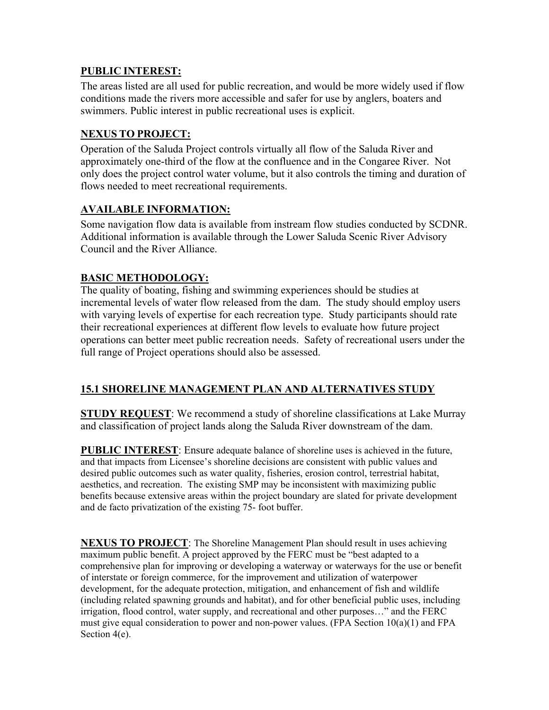### **PUBLIC INTEREST:**

The areas listed are all used for public recreation, and would be more widely used if flow conditions made the rivers more accessible and safer for use by anglers, boaters and swimmers. Public interest in public recreational uses is explicit.

### **NEXUS TO PROJECT:**

Operation of the Saluda Project controls virtually all flow of the Saluda River and approximately one-third of the flow at the confluence and in the Congaree River. Not only does the project control water volume, but it also controls the timing and duration of flows needed to meet recreational requirements.

### **AVAILABLE INFORMATION:**

Some navigation flow data is available from instream flow studies conducted by SCDNR. Additional information is available through the Lower Saluda Scenic River Advisory Council and the River Alliance.

## **BASIC METHODOLOGY:**

The quality of boating, fishing and swimming experiences should be studies at incremental levels of water flow released from the dam. The study should employ users with varying levels of expertise for each recreation type. Study participants should rate their recreational experiences at different flow levels to evaluate how future project operations can better meet public recreation needs. Safety of recreational users under the full range of Project operations should also be assessed.

## **15.1 SHORELINE MANAGEMENT PLAN AND ALTERNATIVES STUDY**

**STUDY REQUEST**: We recommend a study of shoreline classifications at Lake Murray and classification of project lands along the Saluda River downstream of the dam.

**PUBLIC INTEREST**: Ensure adequate balance of shoreline uses is achieved in the future, and that impacts from Licensee's shoreline decisions are consistent with public values and desired public outcomes such as water quality, fisheries, erosion control, terrestrial habitat, aesthetics, and recreation. The existing SMP may be inconsistent with maximizing public benefits because extensive areas within the project boundary are slated for private development and de facto privatization of the existing 75- foot buffer.

**NEXUS TO PROJECT**: The Shoreline Management Plan should result in uses achieving maximum public benefit. A project approved by the FERC must be "best adapted to a comprehensive plan for improving or developing a waterway or waterways for the use or benefit of interstate or foreign commerce, for the improvement and utilization of waterpower development, for the adequate protection, mitigation, and enhancement of fish and wildlife (including related spawning grounds and habitat), and for other beneficial public uses, including irrigation, flood control, water supply, and recreational and other purposes…" and the FERC must give equal consideration to power and non-power values. (FPA Section  $10(a)(1)$  and FPA Section 4(e).